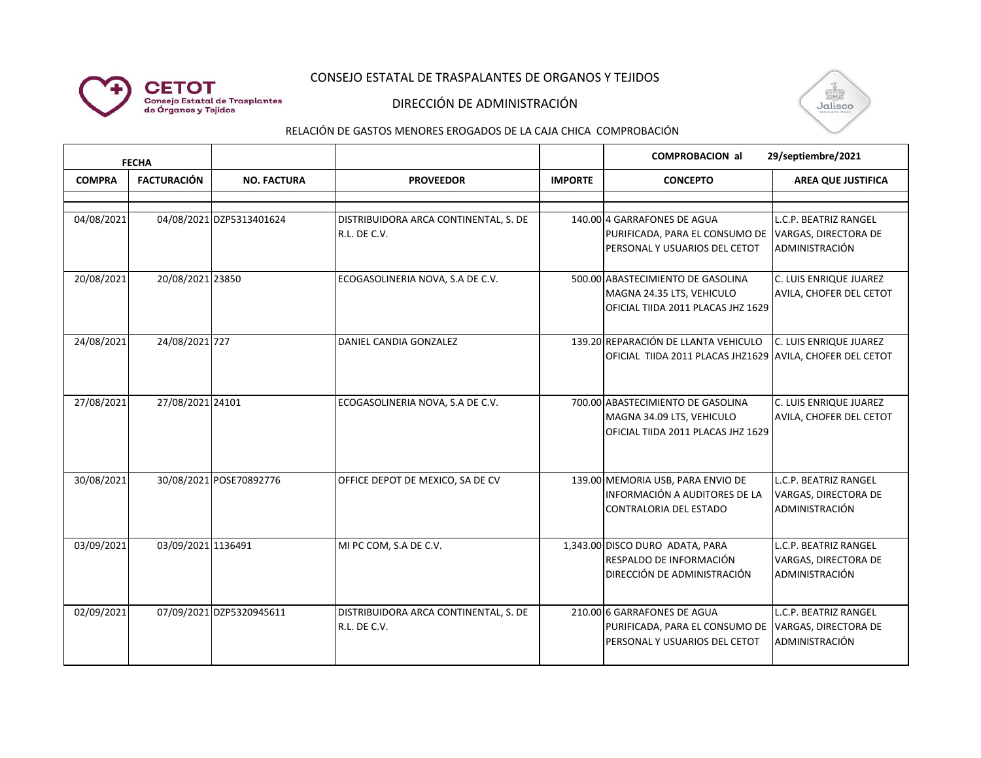# CONSEJO ESTATAL DE TRASPALANTES DE ORGANOS Y TEJIDOS



**CETOT** 

**Consejo Estatal de Trasplantes<br>de Órganos y Tejidos** 



#### RELACIÓN DE GASTOS MENORES EROGADOS DE LA CAJA CHICA COMPROBACIÓN

| <b>FECHA</b>  |                    |                          |                                                       |                | <b>COMPROBACION al</b><br>29/septiembre/2021                                                         |                                                                        |
|---------------|--------------------|--------------------------|-------------------------------------------------------|----------------|------------------------------------------------------------------------------------------------------|------------------------------------------------------------------------|
| <b>COMPRA</b> | <b>FACTURACIÓN</b> | <b>NO. FACTURA</b>       | <b>PROVEEDOR</b>                                      | <b>IMPORTE</b> | <b>CONCEPTO</b>                                                                                      | <b>AREA QUE JUSTIFICA</b>                                              |
|               |                    |                          |                                                       |                |                                                                                                      |                                                                        |
| 04/08/2021    |                    | 04/08/2021 DZP5313401624 | DISTRIBUIDORA ARCA CONTINENTAL, S. DE<br>R.L. DE C.V. |                | 140.00 4 GARRAFONES DE AGUA<br>PURIFICADA, PARA EL CONSUMO DE<br>PERSONAL Y USUARIOS DEL CETOT       | L.C.P. BEATRIZ RANGEL<br>VARGAS, DIRECTORA DE<br>ADMINISTRACIÓN        |
| 20/08/2021    | 20/08/2021 23850   |                          | ECOGASOLINERIA NOVA, S.A DE C.V.                      |                | 500.00 ABASTECIMIENTO DE GASOLINA<br>MAGNA 24.35 LTS, VEHICULO<br>OFICIAL TIIDA 2011 PLACAS JHZ 1629 | C. LUIS ENRIQUE JUAREZ<br>AVILA, CHOFER DEL CETOT                      |
| 24/08/2021    | 24/08/2021 727     |                          | DANIEL CANDIA GONZALEZ                                |                | 139.20 REPARACIÓN DE LLANTA VEHICULO<br>OFICIAL TIIDA 2011 PLACAS JHZ1629 AVILA, CHOFER DEL CETOT    | C. LUIS ENRIQUE JUAREZ                                                 |
| 27/08/2021    | 27/08/2021 24101   |                          | ECOGASOLINERIA NOVA, S.A DE C.V.                      |                | 700.00 ABASTECIMIENTO DE GASOLINA<br>MAGNA 34.09 LTS, VEHICULO<br>OFICIAL TIIDA 2011 PLACAS JHZ 1629 | C. LUIS ENRIQUE JUAREZ<br>AVILA, CHOFER DEL CETOT                      |
| 30/08/2021    |                    | 30/08/2021 POSE70892776  | OFFICE DEPOT DE MEXICO, SA DE CV                      |                | 139.00 MEMORIA USB, PARA ENVIO DE<br>INFORMACIÓN A AUDITORES DE LA<br><b>CONTRALORIA DEL ESTADO</b>  | L.C.P. BEATRIZ RANGEL<br>VARGAS, DIRECTORA DE<br>ADMINISTRACIÓN        |
| 03/09/2021    | 03/09/2021 1136491 |                          | MI PC COM, S.A DE C.V.                                |                | 1,343.00 DISCO DURO ADATA, PARA<br>RESPALDO DE INFORMACIÓN<br>DIRECCIÓN DE ADMINISTRACIÓN            | <b>L.C.P. BEATRIZ RANGEL</b><br>VARGAS, DIRECTORA DE<br>ADMINISTRACIÓN |
| 02/09/2021    |                    | 07/09/2021 DZP5320945611 | DISTRIBUIDORA ARCA CONTINENTAL, S. DE<br>R.L. DE C.V. |                | 210.00 6 GARRAFONES DE AGUA<br>PURIFICADA, PARA EL CONSUMO DE<br>PERSONAL Y USUARIOS DEL CETOT       | <b>L.C.P. BEATRIZ RANGEL</b><br>VARGAS, DIRECTORA DE<br>ADMINISTRACIÓN |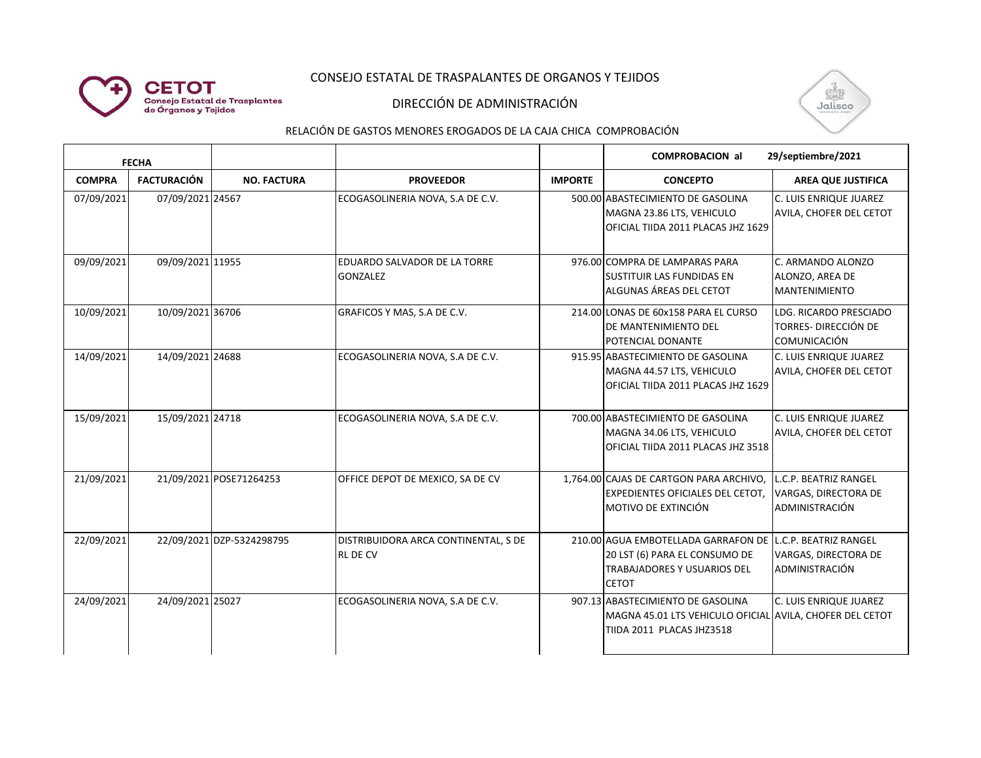### CONSEJO ESTATAL DE TRASPALANTES DE ORGANOS Y TEJIDOS



### DIRECCIÓN DE ADMINISTRACIÓN



#### RELACIÓN DE GASTOS MENORES EROGADOS DE LA CAJA CHICA COMPROBACIÓN

| <b>FECHA</b>  |                    |                           |                                                         |                | 29/septiembre/2021<br><b>COMPROBACION all</b>                                                                                                    |                                                                              |
|---------------|--------------------|---------------------------|---------------------------------------------------------|----------------|--------------------------------------------------------------------------------------------------------------------------------------------------|------------------------------------------------------------------------------|
| <b>COMPRA</b> | <b>FACTURACIÓN</b> | <b>NO. FACTURA</b>        | <b>PROVEEDOR</b>                                        | <b>IMPORTE</b> | <b>CONCEPTO</b>                                                                                                                                  | <b>AREA QUE JUSTIFICA</b>                                                    |
| 07/09/2021    | 07/09/2021 24567   |                           | ECOGASOLINERIA NOVA, S.A DE C.V.                        |                | 500.00 ABASTECIMIENTO DE GASOLINA<br>MAGNA 23.86 LTS, VEHICULO<br>OFICIAL TIIDA 2011 PLACAS JHZ 1629                                             | C. LUIS ENRIQUE JUAREZ<br><b>AVILA, CHOFER DEL CETOT</b>                     |
| 09/09/2021    | 09/09/2021 11955   |                           | <b>EDUARDO SALVADOR DE LA TORRE</b><br><b>GONZALEZ</b>  |                | 976.00 COMPRA DE LAMPARAS PARA<br>ISUSTITUIR LAS FUNDIDAS EN<br>ALGUNAS ÁREAS DEL CETOT                                                          | C. ARMANDO ALONZO<br>ALONZO, AREA DE<br><b>MANTENIMIENTO</b>                 |
| 10/09/2021    | 10/09/2021 36706   |                           | GRAFICOS Y MAS, S.A DE C.V.                             |                | 214.00 LONAS DE 60x158 PARA EL CURSO<br>DE MANTENIMIENTO DEL<br><b>POTENCIAL DONANTE</b>                                                         | LDG. RICARDO PRESCIADO<br><b>TORRES- DIRECCIÓN DE</b><br><b>COMUNICACIÓN</b> |
| 14/09/2021    | 14/09/2021 24688   |                           | ECOGASOLINERIA NOVA, S.A DE C.V.                        |                | 915.95 ABASTECIMIENTO DE GASOLINA<br>MAGNA 44.57 LTS, VEHICULO<br>OFICIAL TIIDA 2011 PLACAS JHZ 1629                                             | C. LUIS ENRIQUE JUAREZ<br>AVILA, CHOFER DEL CETOT                            |
| 15/09/2021    | 15/09/2021 24718   |                           | ECOGASOLINERIA NOVA, S.A DE C.V.                        |                | 700.00 ABASTECIMIENTO DE GASOLINA<br>MAGNA 34.06 LTS, VEHICULO<br>OFICIAL TIIDA 2011 PLACAS JHZ 3518                                             | C. LUIS ENRIQUE JUAREZ<br>AVILA, CHOFER DEL CETOT                            |
| 21/09/2021    |                    | 21/09/2021 POSE71264253   | OFFICE DEPOT DE MEXICO, SA DE CV                        |                | 1,764.00 CAJAS DE CARTGON PARA ARCHIVO,<br><b>EXPEDIENTES OFICIALES DEL CETOT,</b><br>MOTIVO DE EXTINCIÓN                                        | L.C.P. BEATRIZ RANGEL<br>VARGAS, DIRECTORA DE<br>ADMINISTRACIÓN              |
| 22/09/2021    |                    | 22/09/2021 DZP-5324298795 | DISTRIBUIDORA ARCA CONTINENTAL, S DE<br><b>RL DE CV</b> |                | 210.00 AGUA EMBOTELLADA GARRAFON DE L.C.P. BEATRIZ RANGEL<br>20 LST (6) PARA EL CONSUMO DE<br><b>TRABAJADORES Y USUARIOS DEL</b><br><b>CETOT</b> | VARGAS, DIRECTORA DE<br>ADMINISTRACIÓN                                       |
| 24/09/2021    | 24/09/2021 25027   |                           | ECOGASOLINERIA NOVA, S.A DE C.V.                        |                | 907.13 ABASTECIMIENTO DE GASOLINA<br>MAGNA 45.01 LTS VEHICULO OFICIAL AVILA, CHOFER DEL CETOT<br>TIIDA 2011 PLACAS JHZ3518                       | C. LUIS ENRIQUE JUAREZ                                                       |